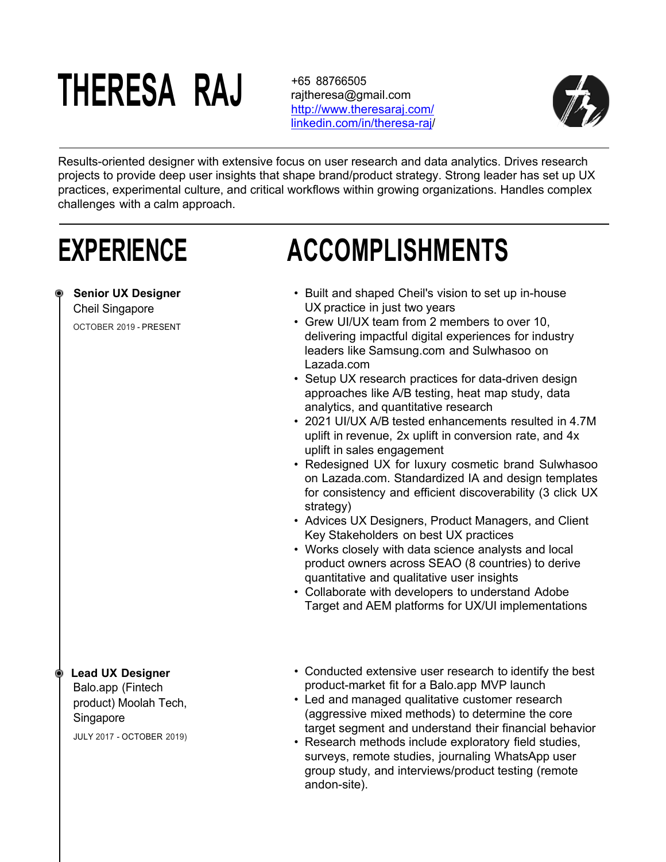# **THERESA RAJ**

+65 88766505 rajtheresa@gmail.com http://www.theresaraj.com/ linkedin.com/in/theresa-raj/



Results-oriented designer with extensive focus on user research and data analytics. Drives research projects to provide deep user insights that shape brand/product strategy. Strong leader has set up UX practices, experimental culture, and critical workflows within growing organizations. Handles complex challenges with a calm approach.

### **EXPERIENCE**

#### **Senior UX Designer**

Cheil Singapore

OCTOBER 2019 - PRESENT

### • Built and shaped Cheil's vision to set up in-house UX practice in just two years

**ACCOMPLISHMENTS**

- Grew UI/UX team from 2 members to over 10, delivering impactful digital experiences for industry leaders like Samsung.com and Sulwhasoo on Lazada.com
- Setup UX research practices for data-driven design approaches like A/B testing, heat map study, data analytics, and quantitative research
- 2021 UI/UX A/B tested enhancements resulted in 4.7M uplift in revenue, 2x uplift in conversion rate, and 4x uplift in sales engagement
- Redesigned UX for luxury cosmetic brand Sulwhasoo on Lazada.com. Standardized IA and design templates for consistency and efficient discoverability (3 click UX strategy)
- Advices UX Designers, Product Managers, and Client Key Stakeholders on best UX practices
- Works closely with data science analysts and local product owners across SEAO (8 countries) to derive quantitative and qualitative user insights
- Collaborate with developers to understand Adobe Target and AEM platforms for UX/UI implementations

#### **Lead UX Designer**

Balo.app (Fintech product) Moolah Tech, **Singapore** 

JULY 2017 - OCTOBER 2019)

- Conducted extensive user research to identify the best product-market fit for a Balo.app MVP launch
- Led and managed qualitative customer research (aggressive mixed methods) to determine the core target segment and understand their financial behavior
- Research methods include exploratory field studies, surveys, remote studies, journaling WhatsApp user group study, and interviews/product testing (remote andon-site).